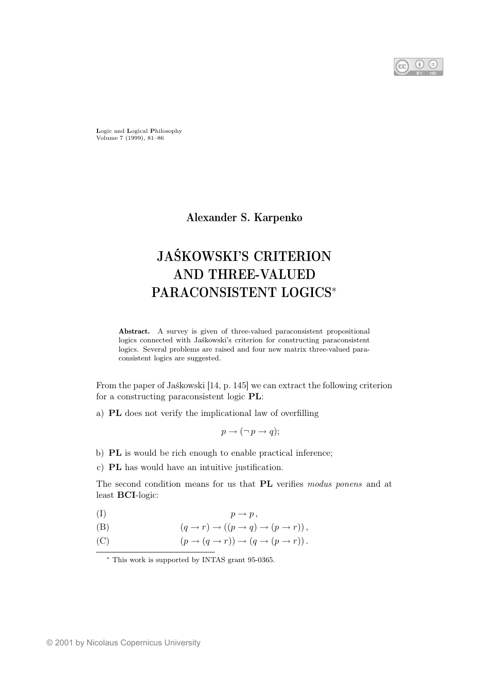Logic and Logical Philosophy Volume 7 (1999), 81–86

Alexander S. Karpenko

# JAŚKOWSKI'S CRITERION AND THREE-VALUED PARACONSISTENT LOGICS<sup>∗</sup>

Abstract. A survey is given of three-valued paraconsistent propositional logics connected with Jaśkowski's criterion for constructing paraconsistent logics. Several problems are raised and four new matrix three-valued paraconsistent logics are suggested.

From the paper of Jaśkowski [14, p. 145] we can extract the following criterion for a constructing paraconsistent logic PL:

a) PL does not verify the implicational law of overfilling

$$
p \to (\neg p \to q);
$$

- b) PL is would be rich enough to enable practical inference;
- c) PL has would have an intuitive justification.

The second condition means for us that PL verifies modus ponens and at least BCI-logic:

- (I)  $p \rightarrow p$ ,
- (B)  $(q \rightarrow r) \rightarrow ((p \rightarrow q) \rightarrow (p \rightarrow r)),$
- (C)  $(p \to (q \to r)) \to (q \to (p \to r)).$

<sup>∗</sup> This work is supported by INTAS grant 95-0365.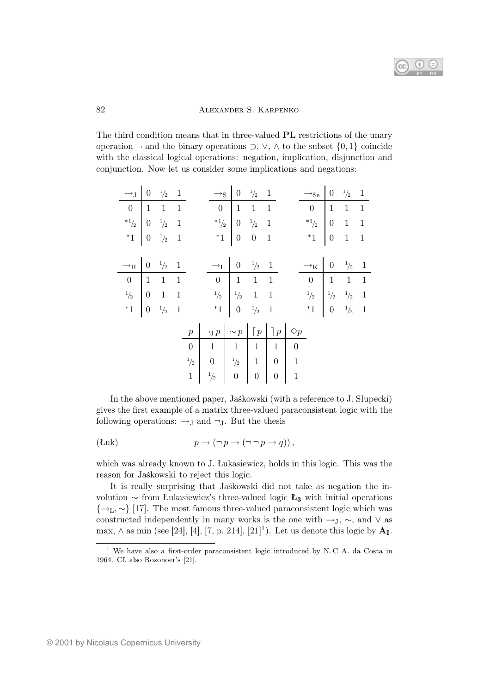

## 82 ALEXANDER S. KARPENKO

The third condition means that in three-valued PL restrictions of the unary operation  $\neg$  and the binary operations  $\supset$ ,  $\vee$ ,  $\wedge$  to the subset  $\{0,1\}$  coincide with the classical logical operations: negation, implication, disjunction and conjunction. Now let us consider some implications and negations:

| $\rightarrow$ $\begin{array}{ccc} 0 & \frac{1}{2} & 1 \end{array}$                                                                                                                                              |  |  |                                                                                                                                                                 | $\rightarrow_S$ 0 $\frac{1}{2}$ 1                                                                                       |  | $\rightarrow$ <sub>Se</sub> $\begin{vmatrix} 0 & \frac{1}{2} & 1 \end{vmatrix}$                                                                                                 |  |  |
|-----------------------------------------------------------------------------------------------------------------------------------------------------------------------------------------------------------------|--|--|-----------------------------------------------------------------------------------------------------------------------------------------------------------------|-------------------------------------------------------------------------------------------------------------------------|--|---------------------------------------------------------------------------------------------------------------------------------------------------------------------------------|--|--|
|                                                                                                                                                                                                                 |  |  |                                                                                                                                                                 |                                                                                                                         |  |                                                                                                                                                                                 |  |  |
| $\begin{array}{c ccccc}\n & & & & & & & & \\ \hline\n0 & 1 & 1 & 1 & & & & \\ \ast_{1/2} & 0 & \frac{1}{2} & 1 & & & \\ \ast_{1} & 0 & \frac{1}{2} & 1 & & & \\ \end{array}$                                    |  |  |                                                                                                                                                                 | $\begin{array}{c ccccc} & 0 & 1 & 1 & 1 \\ \ast_{1/2} & & 0 & \frac{1}{2} & 1 \\ \ast_{1} & & 0 & 0 & 1 \\ \end{array}$ |  | $\begin{array}{c cc} 0 & 1 & 1 & 1 \\ *1_{/2} & 0 & 1 & 1 \\ *1 & 0 & 1 & 1 \end{array}$                                                                                        |  |  |
|                                                                                                                                                                                                                 |  |  |                                                                                                                                                                 |                                                                                                                         |  |                                                                                                                                                                                 |  |  |
|                                                                                                                                                                                                                 |  |  |                                                                                                                                                                 |                                                                                                                         |  |                                                                                                                                                                                 |  |  |
|                                                                                                                                                                                                                 |  |  |                                                                                                                                                                 |                                                                                                                         |  |                                                                                                                                                                                 |  |  |
| $\begin{tabular}{c cc} $\longrightarrow_{\mbox{H}}$ & $0$ & $\frac{1}{2}$ & $1$ \\ \hline $0$ & $1$ & $1$ & $1$ \\ \hline $\frac{1}{2}$ & $0$ & $1$ & $1$ \\ $*1$ & $0$ & $\frac{1}{2}$ & $1$ \\ \end{tabular}$ |  |  | $\begin{array}{c ccccc}\n\multicolumn{3}{c }{\rightarrow_L} & 0 & \frac{1}{2} & 1 \\ \hline\n0 & 1 & 1 & 1 \\ \frac{1}{2} & \frac{1}{2} & 1 & 1 \\ \end{array}$ |                                                                                                                         |  | $\begin{array}{c ccccc}\n-\lambda_K & 0 & \frac{1}{2} & 1 \\ \hline\n0 & 1 & 1 & 1 \\ \frac{1}{2} & \frac{1}{2} & \frac{1}{2} & 1 \\ \ast_1 & 0 & \frac{1}{2} & 1\n\end{array}$ |  |  |
|                                                                                                                                                                                                                 |  |  |                                                                                                                                                                 |                                                                                                                         |  |                                                                                                                                                                                 |  |  |
|                                                                                                                                                                                                                 |  |  |                                                                                                                                                                 |                                                                                                                         |  |                                                                                                                                                                                 |  |  |
|                                                                                                                                                                                                                 |  |  |                                                                                                                                                                 |                                                                                                                         |  |                                                                                                                                                                                 |  |  |
|                                                                                                                                                                                                                 |  |  | $p \mid \neg_{\mathrm{J}} p \mid \sim p \mid \lceil p \mid \rceil p \mid \Diamond p$                                                                            |                                                                                                                         |  |                                                                                                                                                                                 |  |  |
|                                                                                                                                                                                                                 |  |  |                                                                                                                                                                 |                                                                                                                         |  |                                                                                                                                                                                 |  |  |
|                                                                                                                                                                                                                 |  |  |                                                                                                                                                                 |                                                                                                                         |  |                                                                                                                                                                                 |  |  |
|                                                                                                                                                                                                                 |  |  | $\begin{array}{c ccccc} 0 & 1 & 1 & 1 & 1 & 0 \\ \hline^{-1}\gamma_2 & 0 & ^{1}\gamma_2 & 1 & 0 & 1 \\ 1 & ^{1}\gamma_2 & 0 & 0 & 0 & 1 \end{array}$            |                                                                                                                         |  |                                                                                                                                                                                 |  |  |

In the above mentioned paper, Jaśkowski (with a reference to J. Słupecki) gives the first example of a matrix three-valued paraconsistent logic with the following operations:  $\rightarrow_J$  and  $\neg_J$ . But the thesis

$$
(Luk) \t\t\t p \to (\neg p \to (\neg \neg p \to q)),
$$

which was already known to J. Łukasiewicz, holds in this logic. This was the reason for Jaśkowski to reject this logic.

It is really surprising that Jaśkowski did not take as negation the involution  $\sim$  from Łukasiewicz's three-valued logic **Ł**<sub>3</sub> with initial operations  $\{\rightarrow_L, \sim\}$  [17]. The most famous three-valued paraconsistent logic which was constructed independently in many works is the one with  $\rightarrow$ <sub>J</sub>,  $\sim$ , and  $\vee$  as max,  $\wedge$  as min (see [24], [4], [7, p. 214], [21]<sup>1</sup>). Let us denote this logic by  $\mathbf{A}_{\text{I}}$ .

<sup>1</sup> We have also a first-order paraconsistent logic introduced by N. C. A. da Costa in 1964. Cf. also Rozonoer's [21].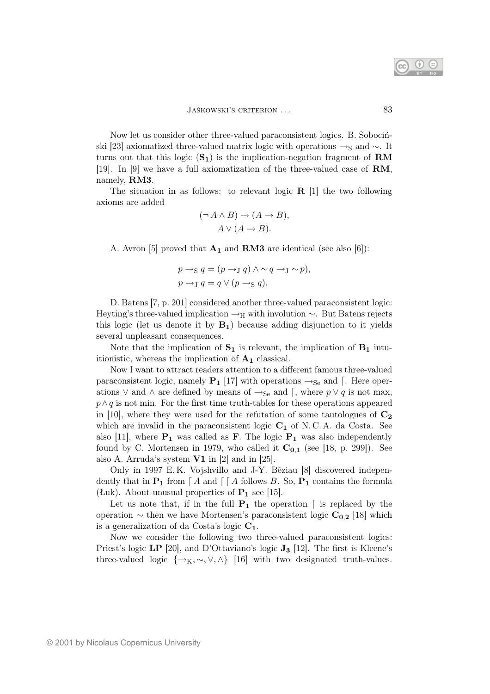

Now let us consider other three-valued paraconsistent logics. B. Sobociński [23] axiomatized three-valued matrix logic with operations  $\rightarrow_S$  and  $\sim$ . It turns out that this logic  $(\mathbf{S}_1)$  is the implication-negation fragment of **RM** [19]. In [9] we have a full axiomatization of the three-valued case of RM, namely, RM3.

The situation in as follows: to relevant logic  $\bf{R}$  [1] the two following axioms are added

$$
(\neg A \land B) \to (A \to B),
$$
  
 
$$
A \lor (A \to B).
$$

A. Avron [5] proved that  $A_1$  and RM3 are identical (see also [6]):

$$
p \rightarrow_S q = (p \rightarrow_J q) \land \sim q \rightarrow_J \sim p),
$$
  

$$
p \rightarrow_J q = q \lor (p \rightarrow_S q).
$$

D. Batens [7, p. 201] considered another three-valued paraconsistent logic: Heyting's three-valued implication  $\rightarrow$ H with involution  $\sim$ . But Batens rejects this logic (let us denote it by  $B_1$ ) because adding disjunction to it yields several unpleasant consequences.

Note that the implication of  $S_1$  is relevant, the implication of  $B_1$  intuitionistic, whereas the implication of  $A_1$  classical.

Now I want to attract readers attention to a different famous three-valued paraconsistent logic, namely  $P_1$  [17] with operations  $\rightarrow_{Se}$  and [. Here operations  $\vee$  and  $\wedge$  are defined by means of  $\rightarrow$ <sub>Se</sub> and  $\lceil$ , where  $p \vee q$  is not max,  $p \wedge q$  is not min. For the first time truth-tables for these operations appeared in [10], where they were used for the refutation of some tautologues of  $C_2$ which are invalid in the paraconsistent logic  $C_1$  of N.C.A. da Costa. See also [11], where  $P_1$  was called as **F**. The logic  $P_1$  was also independently found by C. Mortensen in 1979, who called it  $C_{0,1}$  (see [18, p. 299]). See also A. Arruda's system V1 in [2] and in [25].

Only in 1997 E. K. Vojshvillo and J-Y. Béziau [8] discovered independently that in  $P_1$  from  $\lceil A \rceil$  and  $\lceil A \rceil$  follows B. So,  $P_1$  contains the formula (Łuk). About unusual properties of  $P_1$  see [15].

Let us note that, if in the full  $P_1$  the operation  $\lceil$  is replaced by the operation  $\sim$  then we have Mortensen's paraconsistent logic  $C_{0,2}$  [18] which is a generalization of da Costa's logic  $C_1$ .

Now we consider the following two three-valued paraconsistent logics: Priest's logic LP [20], and D'Ottaviano's logic  $J_3$  [12]. The first is Kleene's three-valued logic  $\{\rightarrow_K, \sim, \vee, \wedge\}$  [16] with two designated truth-values.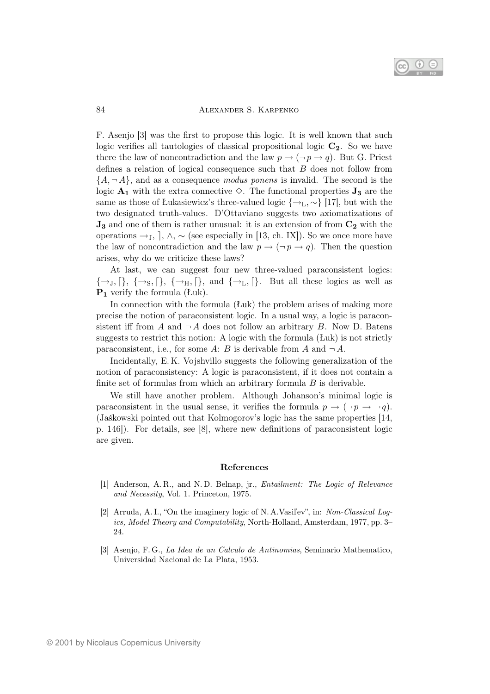

#### 84 **ALEXANDER S. KARPENKO**

F. Asenjo [3] was the first to propose this logic. It is well known that such logic verifies all tautologies of classical propositional logic  $C_2$ . So we have there the law of noncontradiction and the law  $p \to (\neg p \to q)$ . But G. Priest defines a relation of logical consequence such that B does not follow from  ${A, \neg A}$ , and as a consequence *modus ponens* is invalid. The second is the logic  $A_1$  with the extra connective  $\diamond$ . The functional properties  $J_3$  are the same as those of Łukasiewicz's three-valued logic  $\{\rightarrow_L, \sim\}$  [17], but with the two designated truth-values. D'Ottaviano suggests two axiomatizations of  $J_3$  and one of them is rather unusual: it is an extension of from  $C_2$  with the operations  $\rightarrow_J$ ,  $\lambda$ ,  $\sim$  (see especially in [13, ch. IX]). So we once more have the law of noncontradiction and the law  $p \to (\neg p \to q)$ . Then the question arises, why do we criticize these laws?

At last, we can suggest four new three-valued paraconsistent logics:  $\{\rightarrow_J, [\}, \{\rightarrow_S, [\}, \{\rightarrow_H, [\}, \text{and } \{\rightarrow_L, [\}. \text{But all these logics as well as} \]$  $P_1$  verify the formula (Łuk).

In connection with the formula (Łuk) the problem arises of making more precise the notion of paraconsistent logic. In a usual way, a logic is paraconsistent iff from A and  $\neg A$  does not follow an arbitrary B. Now D. Batens suggests to restrict this notion: A logic with the formula (Łuk) is not strictly paraconsistent, i.e., for some A: B is derivable from A and  $\neg A$ .

Incidentally, E. K. Vojshvillo suggests the following generalization of the notion of paraconsistency: A logic is paraconsistent, if it does not contain a finite set of formulas from which an arbitrary formula  $B$  is derivable.

We still have another problem. Although Johanson's minimal logic is paraconsistent in the usual sense, it verifies the formula  $p \to (\neg p \to \neg q)$ . (Jaśkowski pointed out that Kolmogorov's logic has the same properties [14, p. 146]). For details, see [8], where new definitions of paraconsistent logic are given.

### References

- [1] Anderson, A. R., and N. D. Belnap, jr., Entailment: The Logic of Relevance and Necessity, Vol. 1. Princeton, 1975.
- [2] Arruda, A. I., "On the imaginery logic of N. A.Vasiľev", in: Non-Classical Logics, Model Theory and Computability, North-Holland, Amsterdam, 1977, pp. 3– 24.
- [3] Asenjo, F. G., La Idea de un Calculo de Antinomias, Seminario Mathematico, Universidad Nacional de La Plata, 1953.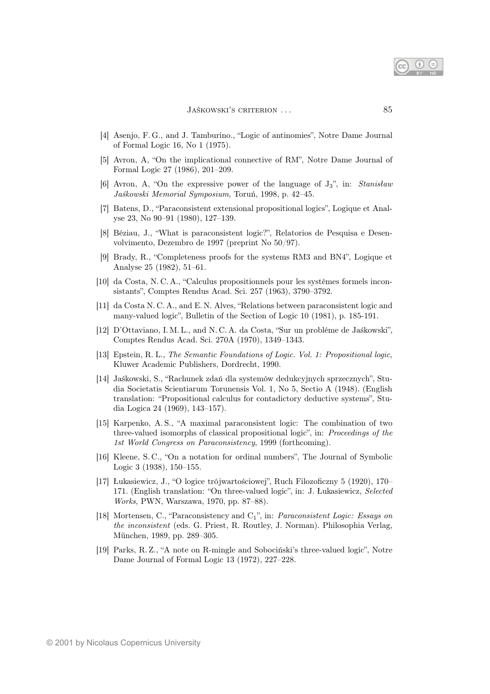- [4] Asenjo, F. G., and J. Tamburino., "Logic of antinomies", Notre Dame Journal of Formal Logic 16, No 1 (1975).
- [5] Avron, A, "On the implicational connective of RM", Notre Dame Journal of Formal Logic 27 (1986), 201–209.
- [6] Avron, A, "On the expressive power of the language of J3", in: Stanisław Jaśkowski Memorial Symposium, Toruń, 1998, p. 42–45.
- [7] Batens, D., "Paraconsistent extensional propositional logics", Logique et Analyse 23, No 90–91 (1980), 127–139.
- [8] Béziau, J., "What is paraconsistent logic?", Relatorios de Pesquisa e Desenvolvimento, Dezembro de 1997 (preprint No 50/97).
- [9] Brady, R., "Completeness proofs for the systems RM3 and BN4", Logique et Analyse 25 (1982), 51–61.
- [10] da Costa, N. C. A., "Calculus propositionnels pour les systémes formels inconsistants", Comptes Rendus Acad. Sci. 257 (1963), 3790–3792.
- [11] da Costa N. C. A., and E. N. Alves, "Relations between paraconsistent logic and many-valued logic", Bulletin of the Section of Logic 10 (1981), p. 185-191.
- [12] D'Ottaviano, I. M. L., and N. C. A. da Costa, "Sur un probléme de Jaśkowski", Comptes Rendus Acad. Sci. 270A (1970), 1349–1343.
- [13] Epstein, R. L., The Semantic Foundations of Logic. Vol. 1: Propositional logic, Kluwer Academic Publishers, Dordrecht, 1990.
- [14] Jaśkowski, S., "Rachunek zdań dla systemów dedukcyjnych sprzecznych", Studia Societatis Scientiarum Torunensis Vol. 1, No 5, Sectio A (1948). (English translation: "Propositional calculus for contadictory deductive systems", Studia Logica 24 (1969), 143–157).
- [15] Karpenko, A. S., "A maximal paraconsistent logic: The combination of two three-valued isomorphs of classical propositional logic", in: Proceedings of the 1st World Congress on Paraconsistency, 1999 (forthcoming).
- [16] Kleene, S. C., "On a notation for ordinal numbers", The Journal of Symbolic Logic 3 (1938), 150–155.
- [17] Łukasiewicz, J., "O logice trójwartościowej", Ruch Filozoficzny 5 (1920), 170– 171. (English translation: "On three-valued logic", in: J. Łukasiewicz, Selected Works, PWN, Warszawa, 1970, pp. 87–88).
- [18] Mortensen, C., "Paraconsistency and  $C_1$ ", in: *Paraconsistent Logic: Essays on* the inconsistent (eds. G. Priest, R. Routley, J. Norman). Philosophia Verlag, München, 1989, pp. 289–305.
- [19] Parks, R. Z., "A note on R-mingle and Sobociński's three-valued logic", Notre Dame Journal of Formal Logic 13 (1972), 227-228.